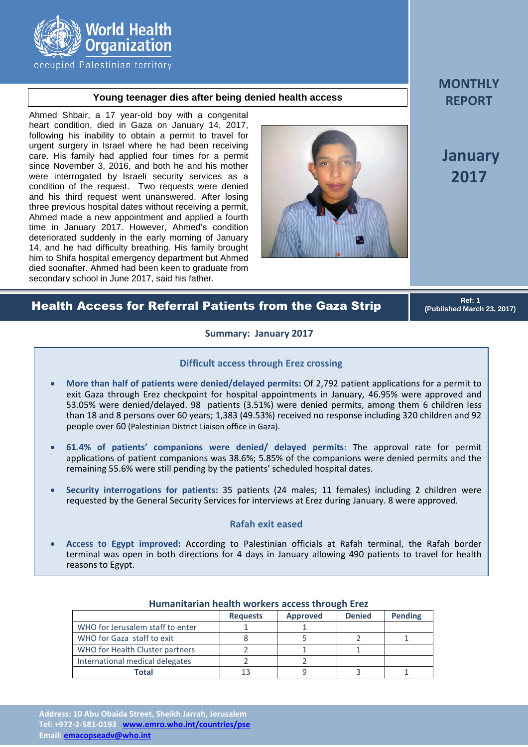

occupied Palestinian territory

# **Young teenager dies after being denied health access**

Ahmed Shbair, a 17 year-old boy with a congenital heart condition, died in Gaza on January 14, 2017, following his inability to obtain a permit to travel for urgent surgery in Israel where he had been receiving care. His family had applied four times for a permit since November 3, 2016, and both he and his mother were interrogated by Israeli security services as a condition of the request. Two requests were denied and his third request went unanswered. After losing three previous hospital dates without receiving a permit, Ahmed made a new appointment and applied a fourth time in January 2017. However, Ahmed's condition deteriorated suddenly in the early morning of January 14, and he had difficulty breathing. His family brought him to Shifa hospital emergency department but Ahmed died soonafter. Ahmed had been keen to graduate from secondary school in June 2017, said his father.



**MONTHLY REPORT**

**January 2017**

# Health Access for Referral Patients from the Gaza Strip

**Ref: 1 (Published March 23, 2017)**

## **Summary: January 2017**

### **Difficult access through Erez crossing**

- **More than half of patients were denied/delayed permits:** Of 2,792 patient applications for a permit to exit Gaza through Erez checkpoint for hospital appointments in January, 46.95% were approved and 53.05% were denied/delayed. 98 patients (3.51%) were denied permits, among them 6 children less than 18 and 8 persons over 60 years; 1,383 (49.53%) received no response including 320 children and 92 people over 60 (Palestinian District Liaison office in Gaza).
- **61.4% of patients' companions were denied/ delayed permits:** The approval rate for permit applications of patient companions was 38.6%; 5.85% of the companions were denied permits and the remaining 55.6% were still pending by the patients' scheduled hospital dates.
- **Security interrogations for patients:** 35 patients (24 males; 11 females) including 2 children were requested by the General Security Services for interviews at Erez during January. 8 were approved.

# **Rafah exit eased**

 **Access to Egypt improved:** According to Palestinian officials at Rafah terminal, the Rafah border terminal was open in both directions for 4 days in January allowing 490 patients to travel for health reasons to Egypt.

|                                  | <b>Requests</b> | <b>Approved</b> | <b>Denied</b> | <b>Pending</b> |  |  |
|----------------------------------|-----------------|-----------------|---------------|----------------|--|--|
| WHO for Jerusalem staff to enter |                 |                 |               |                |  |  |
| WHO for Gaza staff to exit       |                 |                 |               |                |  |  |
| WHO for Health Cluster partners  |                 |                 |               |                |  |  |
| International medical delegates  |                 |                 |               |                |  |  |
| Total                            |                 |                 |               |                |  |  |

#### **Humanitarian health workers access through Erez**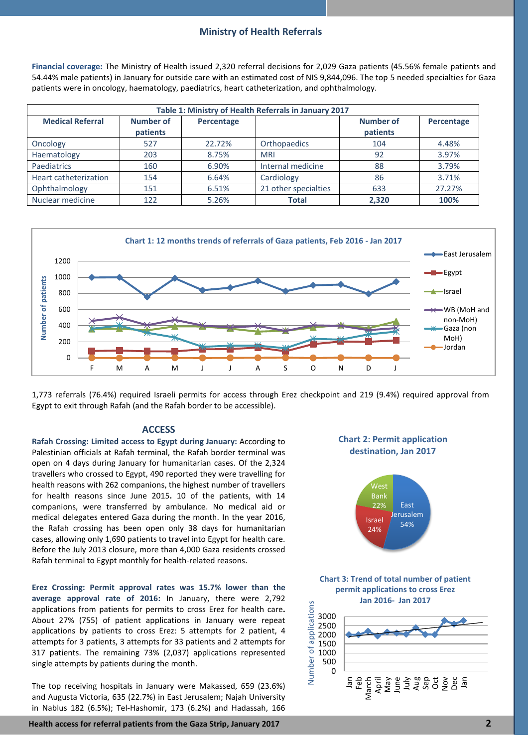### **Ministry of Health Referrals**

**Financial coverage:** The Ministry of Health issued 2,320 referral decisions for 2,029 Gaza patients (45.56% female patients and 54.44% male patients) in January for outside care with an estimated cost of NIS 9,844,096. The top 5 needed specialties for Gaza patients were in oncology, haematology, paediatrics, heart catheterization, and ophthalmology.

| Table 1: Ministry of Health Referrals in January 2017 |           |            |                      |                  |            |  |  |  |
|-------------------------------------------------------|-----------|------------|----------------------|------------------|------------|--|--|--|
| <b>Medical Referral</b>                               | Number of | Percentage |                      | <b>Number of</b> | Percentage |  |  |  |
|                                                       | patients  |            |                      | patients         |            |  |  |  |
| Oncology                                              | 527       | 22.72%     | Orthopaedics         | 104              | 4.48%      |  |  |  |
| Haematology                                           | 203       | 8.75%      | <b>MRI</b>           | 92               | 3.97%      |  |  |  |
| Paediatrics                                           | 160       | 6.90%      | Internal medicine    | 88               | 3.79%      |  |  |  |
| Heart catheterization                                 | 154       | 6.64%      | Cardiology           | 86               | 3.71%      |  |  |  |
| Ophthalmology                                         | 151       | 6.51%      | 21 other specialties | 633              | 27.27%     |  |  |  |
| Nuclear medicine                                      | 122       | 5.26%      | <b>Total</b>         | 2,320            | 100%       |  |  |  |



1,773 referrals (76.4%) required Israeli permits for access through Erez checkpoint and 219 (9.4%) required approval from Egypt to exit through Rafah (and the Rafah border to be accessible).

#### **ACCESS**

**Rafah Crossing: Limited access to Egypt during January:** According to Palestinian officials at Rafah terminal, the Rafah border terminal was open on 4 days during January for humanitarian cases. Of the 2,324 travellers who crossed to Egypt, 490 reported they were travelling for health reasons with 262 companions, the highest number of travellers for health reasons since June 2015**.** 10 of the patients, with 14 companions, were transferred by ambulance. No medical aid or medical delegates entered Gaza during the month. In the year 2016, the Rafah crossing has been open only 38 days for humanitarian cases, allowing only 1,690 patients to travel into Egypt for health care. Before the July 2013 closure, more than 4,000 Gaza residents crossed Rafah terminal to Egypt monthly for health-related reasons.

**Erez Crossing: Permit approval rates was 15.7% lower than the average approval rate of 2016:** In January, there were 2,792 applications from patients for permits to cross Erez for health care**.** About 27% (755) of patient applications in January were repeat applications by patients to cross Erez: 5 attempts for 2 patient, 4 attempts for 3 patients, 3 attempts for 33 patients and 2 attempts for 317 patients. The remaining 73% (2,037) applications represented single attempts by patients during the month.

The top receiving hospitals in January were Makassed, 659 (23.6%) and Augusta Victoria, 635 (22.7%) in East Jerusalem; Najah University in Nablus 182 (6.5%); Tel-Hashomir, 173 (6.2%) and Hadassah, 166



 **Health access for referral patients from the Gaza Strip, January 2017 2**